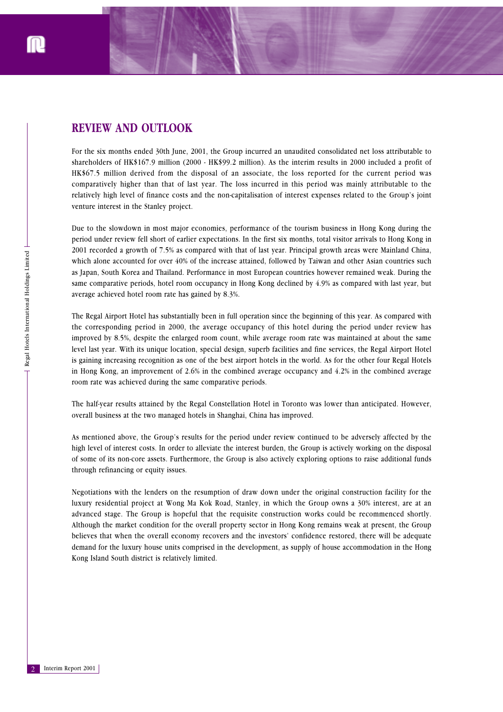

## **REVIEW AND OUTLOOK**

For the six months ended 30th June, 2001, the Group incurred an unaudited consolidated net loss attributable to shareholders of HK\$167.9 million (2000 - HK\$99.2 million). As the interim results in 2000 included a profit of HK\$67.5 million derived from the disposal of an associate, the loss reported for the current period was comparatively higher than that of last year. The loss incurred in this period was mainly attributable to the relatively high level of finance costs and the non-capitalisation of interest expenses related to the Group's joint venture interest in the Stanley project.

Due to the slowdown in most major economies, performance of the tourism business in Hong Kong during the period under review fell short of earlier expectations. In the first six months, total visitor arrivals to Hong Kong in 2001 recorded a growth of 7.5% as compared with that of last year. Principal growth areas were Mainland China, which alone accounted for over 40% of the increase attained, followed by Taiwan and other Asian countries such as Japan, South Korea and Thailand. Performance in most European countries however remained weak. During the same comparative periods, hotel room occupancy in Hong Kong declined by 4.9% as compared with last year, but average achieved hotel room rate has gained by 8.3%.

The Regal Airport Hotel has substantially been in full operation since the beginning of this year. As compared with the corresponding period in 2000, the average occupancy of this hotel during the period under review has improved by 8.5%, despite the enlarged room count, while average room rate was maintained at about the same level last year. With its unique location, special design, superb facilities and fine services, the Regal Airport Hotel is gaining increasing recognition as one of the best airport hotels in the world. As for the other four Regal Hotels in Hong Kong, an improvement of 2.6% in the combined average occupancy and 4.2% in the combined average room rate was achieved during the same comparative periods.

The half-year results attained by the Regal Constellation Hotel in Toronto was lower than anticipated. However, overall business at the two managed hotels in Shanghai, China has improved.

As mentioned above, the Group's results for the period under review continued to be adversely affected by the high level of interest costs. In order to alleviate the interest burden, the Group is actively working on the disposal of some of its non-core assets. Furthermore, the Group is also actively exploring options to raise additional funds through refinancing or equity issues.

Negotiations with the lenders on the resumption of draw down under the original construction facility for the luxury residential project at Wong Ma Kok Road, Stanley, in which the Group owns a 30% interest, are at an advanced stage. The Group is hopeful that the requisite construction works could be recommenced shortly. Although the market condition for the overall property sector in Hong Kong remains weak at present, the Group believes that when the overall economy recovers and the investors' confidence restored, there will be adequate demand for the luxury house units comprised in the development, as supply of house accommodation in the Hong Kong Island South district is relatively limited.